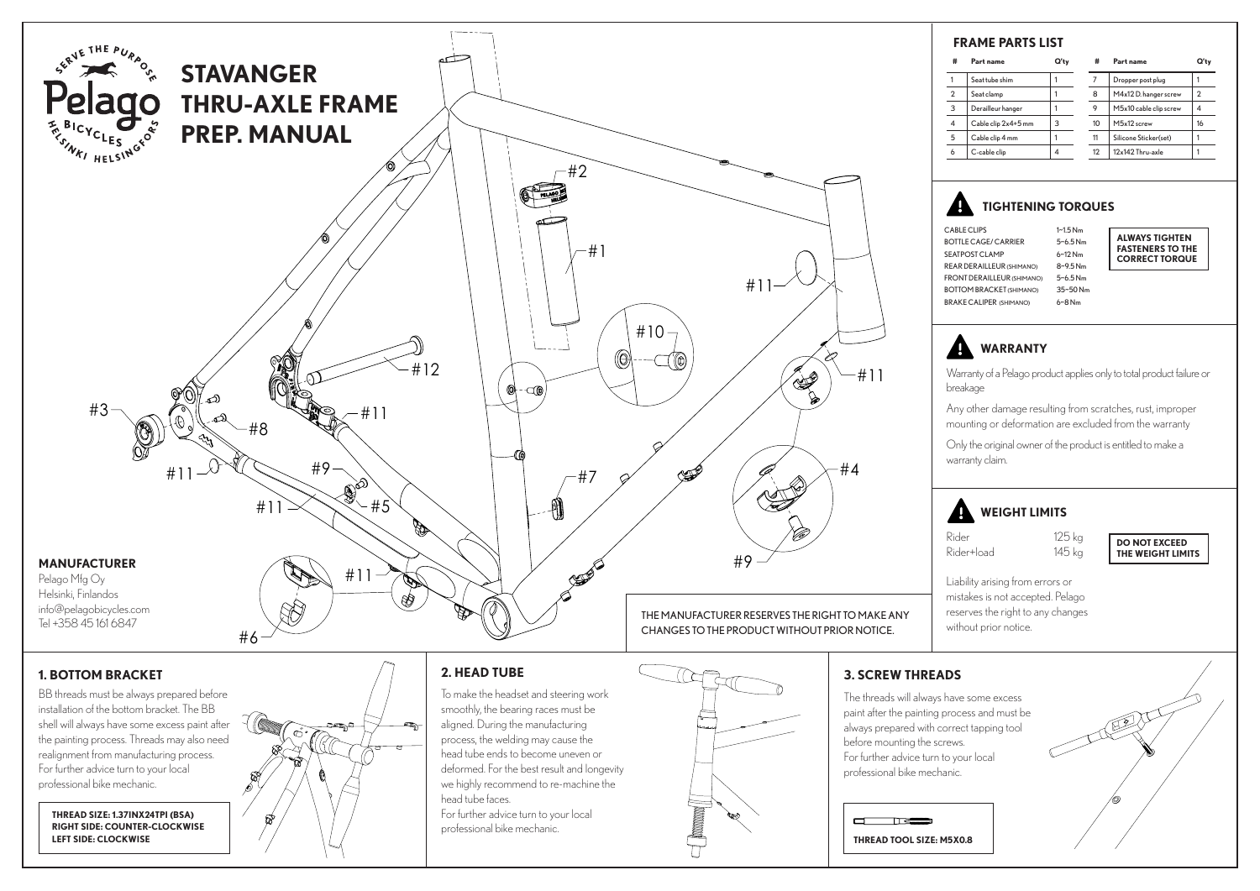

BB threads must be always prepared before installation of the bottom bracket. The BB shell will always have some excess paint after the painting process. Threads may also need realignment from manufacturing process. For further advice turn to your local professional bike mechanic.

**THREAD SIZE: 1.37INX24TPI (BSA) RIGHT SIDE: COUNTER-CLOCKWISE LEFT SIDE: CLOCKWISE**



To make the headset and steering work smoothly, the bearing races must be aligned. During the manufacturing process, the welding may cause the head tube ends to become uneven or deformed. For the best result and longevity we highly recommend to re-machine the head tube faces. For further advice turn to your local professional bike mechanic.



#### **3. SCREW THREADS**

The threads will always have some excess paint after the painting process and must be always prepared with correct tapping tool before mounting the screws. For further advice turn to your local professional bike mechanic.



| #              | Part name           | Q'tv | #  | Part name              | Q'tv                    |
|----------------|---------------------|------|----|------------------------|-------------------------|
|                | Seat tube shim      |      |    | Dropper post plug      |                         |
| $\overline{2}$ | Seat clamp          |      | 8  | M4x12 D. hanger screw  | $\overline{\mathbf{c}}$ |
| 3              | Derailleur hanger   |      | 9  | M5x10 cable clip screw |                         |
| 4              | Cable clip 2x4+5 mm | 3    | 10 | M5x12 screw            | 16                      |
| 5              | Cable clip 4 mm     |      | 11 | Silicone Sticker(set)  |                         |
| 6              | C-cable clip        | 4    | 12 | 12x142 Thru-axle       |                         |

## **TIGHTENING TORQUES**

CABLE CLIPS 1~1.5 Nm BOTTLE CAGE/ CARRIER 5~6.5 Nm<br>SEATPOST CLAMP 6~12 Nm SEATPOST CLAMP 6~12 Nm<br>REAR DERAILLEUR (SHIMANO) 8~9.5 Nm REAR DERAILLEUR (SHIMANO) FRONT DERAILLEUR (SHIMANO) 5~6.5 Nm BOTTOM BRACKET (SHIMANO) 35~50 Nm<br>RRAKE CALIPER (SHIMANO) 6~8 Nm BRAKE CALIPER (SHIMANO)

**ALWAYS TIGHTEN FASTENERS TO THE CORRECT TORQUE**

 **WARRANTY**

Warranty of a Pelago product applies only to total product failure or breakage

Any other damage resulting from scratches, rust, improper mounting or deformation are excluded from the warranty

Only the original owner of the product is entitled to make a warranty claim.

# **WEIGHT LIMITS**

Rider 125 kg Rider+load 145 kg

**DO NOT EXCEED THE WEIGHT LIMITS**

Liability arising from errors or mistakes is not accepted. Pelago reserves the right to any changes without prior notice.